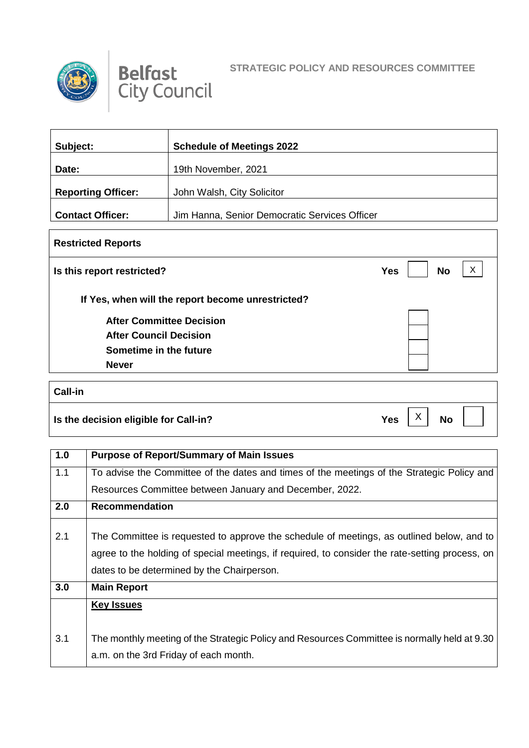

Г



Ξ

| Subject:                  | <b>Schedule of Meetings 2022</b>              |
|---------------------------|-----------------------------------------------|
| Date:                     | 19th November, 2021                           |
| <b>Reporting Officer:</b> | John Walsh, City Solicitor                    |
| <b>Contact Officer:</b>   | Jim Hanna, Senior Democratic Services Officer |

| <b>Restricted Reports</b>                         |                              |
|---------------------------------------------------|------------------------------|
| Is this report restricted?                        | X<br><b>No</b><br><b>Yes</b> |
| If Yes, when will the report become unrestricted? |                              |
| <b>After Committee Decision</b>                   |                              |
| <b>After Council Decision</b>                     |                              |
| Sometime in the future                            |                              |
| <b>Never</b>                                      |                              |

| <b>Call-in</b>                        |                               |
|---------------------------------------|-------------------------------|
| Is the decision eligible for Call-in? | Yes<br><b>No</b><br>$\lambda$ |

| 1.0 | <b>Purpose of Report/Summary of Main Issues</b>                                                                                                                                                                                            |
|-----|--------------------------------------------------------------------------------------------------------------------------------------------------------------------------------------------------------------------------------------------|
| 1.1 | To advise the Committee of the dates and times of the meetings of the Strategic Policy and                                                                                                                                                 |
|     | Resources Committee between January and December, 2022.                                                                                                                                                                                    |
| 2.0 | <b>Recommendation</b>                                                                                                                                                                                                                      |
| 2.1 | The Committee is requested to approve the schedule of meetings, as outlined below, and to<br>agree to the holding of special meetings, if required, to consider the rate-setting process, on<br>dates to be determined by the Chairperson. |
| 3.0 | <b>Main Report</b>                                                                                                                                                                                                                         |
|     | <b>Key Issues</b>                                                                                                                                                                                                                          |
| 3.1 | The monthly meeting of the Strategic Policy and Resources Committee is normally held at 9.30                                                                                                                                               |
|     | a.m. on the 3rd Friday of each month.                                                                                                                                                                                                      |